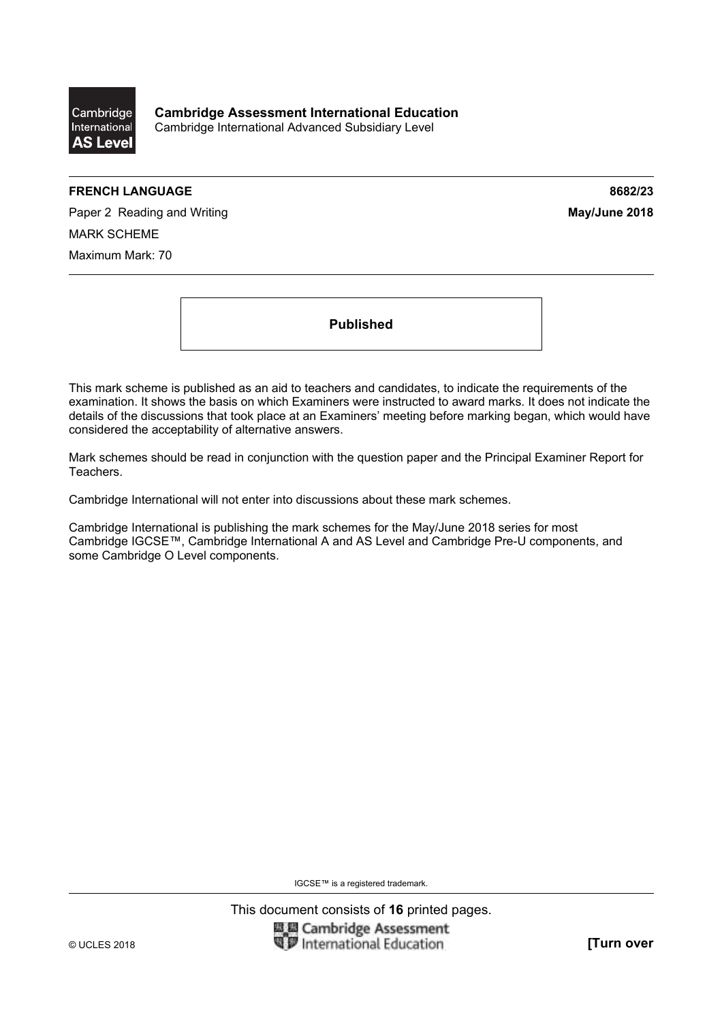

**Cambridge Assessment International Education**  Cambridge International Advanced Subsidiary Level

## **FRENCH LANGUAGE 8682/23**

Paper 2 Reading and Writing **May/June 2018 May/June 2018** MARK SCHEME Maximum Mark: 70

**Published** 

This mark scheme is published as an aid to teachers and candidates, to indicate the requirements of the examination. It shows the basis on which Examiners were instructed to award marks. It does not indicate the details of the discussions that took place at an Examiners' meeting before marking began, which would have considered the acceptability of alternative answers.

Mark schemes should be read in conjunction with the question paper and the Principal Examiner Report for Teachers.

Cambridge International will not enter into discussions about these mark schemes.

Cambridge International is publishing the mark schemes for the May/June 2018 series for most Cambridge IGCSE™, Cambridge International A and AS Level and Cambridge Pre-U components, and some Cambridge O Level components.

IGCSE™ is a registered trademark.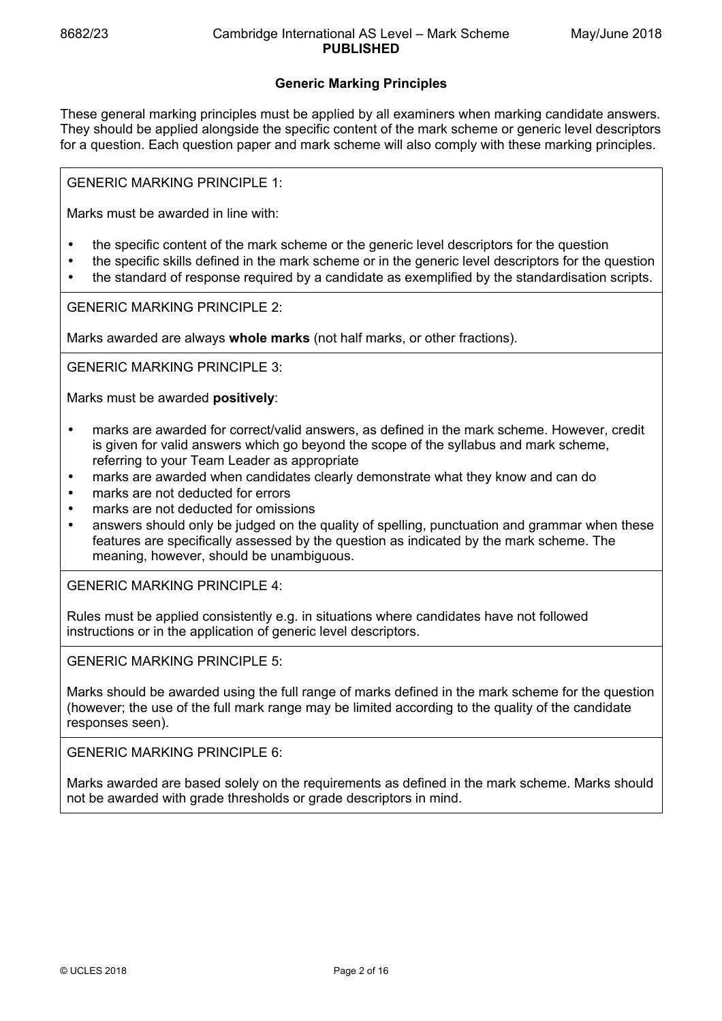# **Generic Marking Principles**

These general marking principles must be applied by all examiners when marking candidate answers. They should be applied alongside the specific content of the mark scheme or generic level descriptors for a question. Each question paper and mark scheme will also comply with these marking principles.

GENERIC MARKING PRINCIPLE 1:

Marks must be awarded in line with:

- the specific content of the mark scheme or the generic level descriptors for the question
- the specific skills defined in the mark scheme or in the generic level descriptors for the question
- the standard of response required by a candidate as exemplified by the standardisation scripts.

GENERIC MARKING PRINCIPLE 2:

Marks awarded are always **whole marks** (not half marks, or other fractions).

GENERIC MARKING PRINCIPLE 3:

Marks must be awarded **positively**:

- marks are awarded for correct/valid answers, as defined in the mark scheme. However, credit is given for valid answers which go beyond the scope of the syllabus and mark scheme, referring to your Team Leader as appropriate
- marks are awarded when candidates clearly demonstrate what they know and can do
- marks are not deducted for errors
- marks are not deducted for omissions
- answers should only be judged on the quality of spelling, punctuation and grammar when these features are specifically assessed by the question as indicated by the mark scheme. The meaning, however, should be unambiguous.

GENERIC MARKING PRINCIPLE 4:

Rules must be applied consistently e.g. in situations where candidates have not followed instructions or in the application of generic level descriptors.

GENERIC MARKING PRINCIPLE 5:

Marks should be awarded using the full range of marks defined in the mark scheme for the question (however; the use of the full mark range may be limited according to the quality of the candidate responses seen).

GENERIC MARKING PRINCIPLE 6:

Marks awarded are based solely on the requirements as defined in the mark scheme. Marks should not be awarded with grade thresholds or grade descriptors in mind.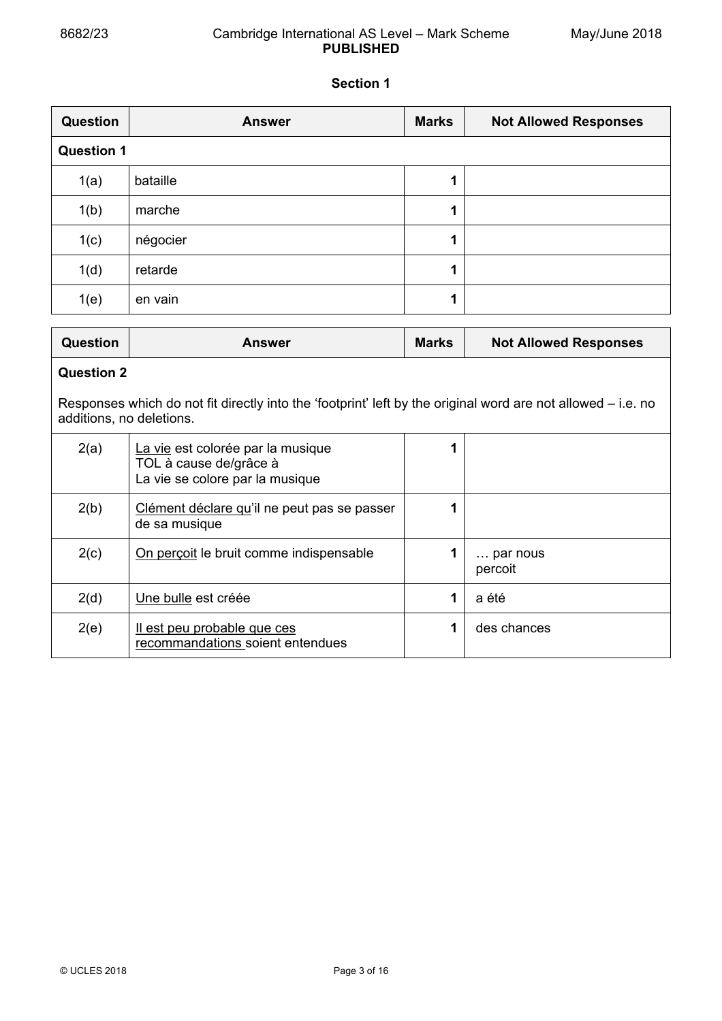$\overline{a}$ 

# 8682/23 Cambridge International AS Level – Mark Scheme **PUBLISHED**

# **Section 1**

| <b>Question</b>   | <b>Answer</b> | <b>Marks</b> | <b>Not Allowed Responses</b> |  |
|-------------------|---------------|--------------|------------------------------|--|
| <b>Question 1</b> |               |              |                              |  |
| 1(a)              | bataille      | 1            |                              |  |
| 1(b)              | marche        | 1            |                              |  |
| 1(c)              | négocier      | 4            |                              |  |
| 1(d)              | retarde       | 1            |                              |  |
| 1(e)              | en vain       | ٩            |                              |  |

| <b>Question</b>                                                                                                                            | Answer                                                                                         | <b>Marks</b> | <b>Not Allowed Responses</b> |  |  |  |
|--------------------------------------------------------------------------------------------------------------------------------------------|------------------------------------------------------------------------------------------------|--------------|------------------------------|--|--|--|
|                                                                                                                                            | <b>Question 2</b>                                                                              |              |                              |  |  |  |
| Responses which do not fit directly into the 'footprint' left by the original word are not allowed $-$ i.e. no<br>additions, no deletions. |                                                                                                |              |                              |  |  |  |
| 2(a)                                                                                                                                       | La vie est colorée par la musique<br>TOL à cause de/grâce à<br>La vie se colore par la musique |              |                              |  |  |  |
| 2(b)                                                                                                                                       | Clément déclare qu'il ne peut pas se passer<br>de sa musique                                   | 1            |                              |  |  |  |
| 2(c)                                                                                                                                       | On percoit le bruit comme indispensable                                                        |              | par nous<br>percoit          |  |  |  |
| 2(d)                                                                                                                                       | Une bulle est créée                                                                            | 1            | a été                        |  |  |  |
| 2(e)                                                                                                                                       | <u>Il est peu probable que ces</u><br>recommandations soient entendues                         | 1            | des chances                  |  |  |  |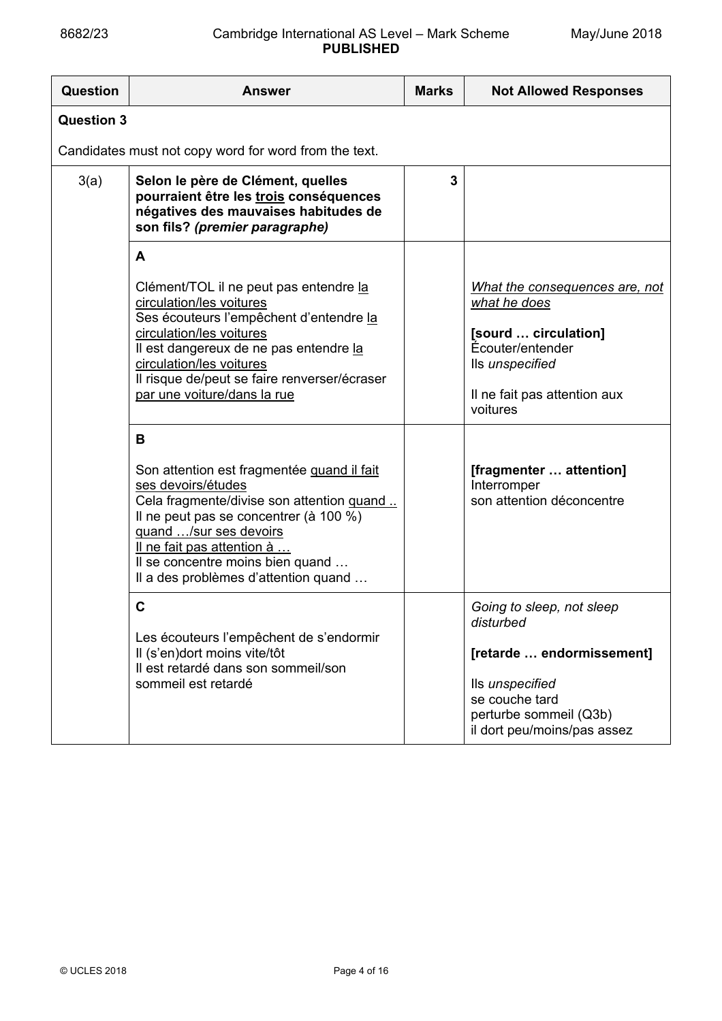# 8682/23 Cambridge International AS Level – Mark Scheme **PUBLISHED**

| <b>Question</b>   | <b>Answer</b>                                                                                                                                                                                                                                                                                       | <b>Marks</b> | <b>Not Allowed Responses</b>                                                                                                                                      |  |  |
|-------------------|-----------------------------------------------------------------------------------------------------------------------------------------------------------------------------------------------------------------------------------------------------------------------------------------------------|--------------|-------------------------------------------------------------------------------------------------------------------------------------------------------------------|--|--|
| <b>Question 3</b> |                                                                                                                                                                                                                                                                                                     |              |                                                                                                                                                                   |  |  |
|                   | Candidates must not copy word for word from the text.                                                                                                                                                                                                                                               |              |                                                                                                                                                                   |  |  |
| 3(a)              | Selon le père de Clément, quelles<br>pourraient être les trois conséquences<br>négatives des mauvaises habitudes de<br>son fils? (premier paragraphe)                                                                                                                                               | 3            |                                                                                                                                                                   |  |  |
|                   | A<br>Clément/TOL il ne peut pas entendre la<br>circulation/les voitures<br>Ses écouteurs l'empêchent d'entendre la<br>circulation/les voitures<br>Il est dangereux de ne pas entendre la<br>circulation/les voitures<br>Il risque de/peut se faire renverser/écraser<br>par une voiture/dans la rue |              | What the consequences are, not<br>what he does<br>[sourd  circulation]<br>Écouter/entender<br>Ils unspecified<br>Il ne fait pas attention aux<br>voitures         |  |  |
|                   | B<br>Son attention est fragmentée quand il fait<br>ses devoirs/études<br>Cela fragmente/divise son attention quand<br>Il ne peut pas se concentrer (à 100 %)<br>quand /sur ses devoirs<br>Il ne fait pas attention à<br>Il se concentre moins bien quand<br>Il a des problèmes d'attention quand    |              | [fragmenter  attention]<br>Interromper<br>son attention déconcentre                                                                                               |  |  |
|                   | $\mathbf c$<br>Les écouteurs l'empêchent de s'endormir<br>Il (s'en)dort moins vite/tôt<br>Il est retardé dans son sommeil/son<br>sommeil est retardé                                                                                                                                                |              | Going to sleep, not sleep<br>disturbed<br>[retarde  endormissement]<br>Ils unspecified<br>se couche tard<br>perturbe sommeil (Q3b)<br>il dort peu/moins/pas assez |  |  |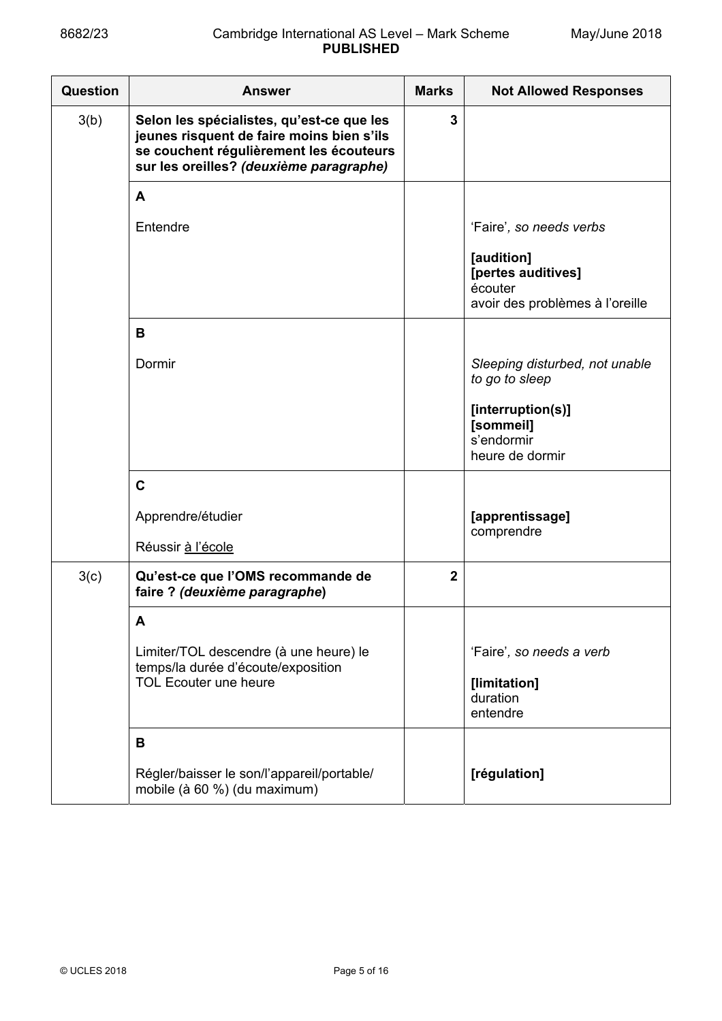| Question | <b>Answer</b>                                                                                                                                                                | <b>Marks</b>   | <b>Not Allowed Responses</b>                                                   |  |
|----------|------------------------------------------------------------------------------------------------------------------------------------------------------------------------------|----------------|--------------------------------------------------------------------------------|--|
| 3(b)     | Selon les spécialistes, qu'est-ce que les<br>jeunes risquent de faire moins bien s'ils<br>se couchent régulièrement les écouteurs<br>sur les oreilles? (deuxième paragraphe) | 3              |                                                                                |  |
|          | A                                                                                                                                                                            |                |                                                                                |  |
|          | Entendre                                                                                                                                                                     |                | 'Faire', so needs verbs                                                        |  |
|          |                                                                                                                                                                              |                | [audition]<br>[pertes auditives]<br>écouter<br>avoir des problèmes à l'oreille |  |
|          | B                                                                                                                                                                            |                |                                                                                |  |
|          | Dormir                                                                                                                                                                       |                | Sleeping disturbed, not unable<br>to go to sleep                               |  |
|          |                                                                                                                                                                              |                | [interruption(s)]<br>[sommeil]<br>s'endormir<br>heure de dormir                |  |
|          | $\mathbf C$                                                                                                                                                                  |                |                                                                                |  |
|          | Apprendre/étudier                                                                                                                                                            |                | [apprentissage]<br>comprendre                                                  |  |
|          | Réussir à l'école                                                                                                                                                            |                |                                                                                |  |
| 3(c)     | Qu'est-ce que l'OMS recommande de<br>faire ? (deuxième paragraphe)                                                                                                           | $\overline{2}$ |                                                                                |  |
|          | A                                                                                                                                                                            |                |                                                                                |  |
|          | Limiter/TOL descendre (à une heure) le<br>temps/la durée d'écoute/exposition                                                                                                 |                | 'Faire', so needs a verb                                                       |  |
|          | <b>TOL Ecouter une heure</b>                                                                                                                                                 |                | [limitation]<br>duration<br>entendre                                           |  |
|          | B                                                                                                                                                                            |                |                                                                                |  |
|          | Régler/baisser le son/l'appareil/portable/<br>mobile (à 60 %) (du maximum)                                                                                                   |                | [régulation]                                                                   |  |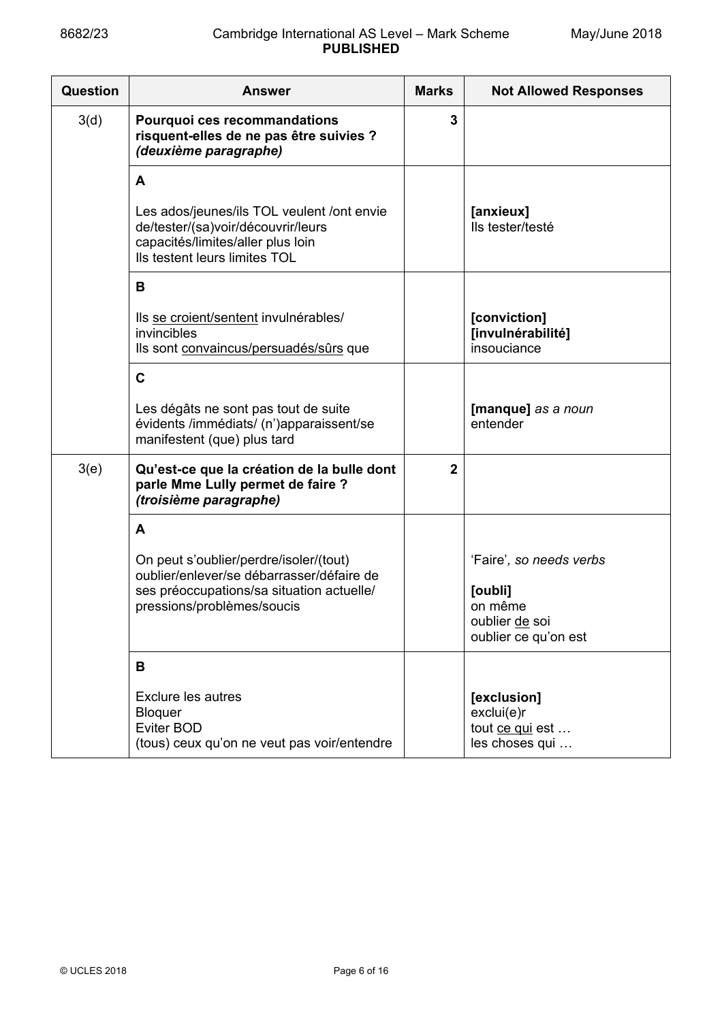| Question | <b>Answer</b>                                                                                                                                          | <b>Marks</b>   | <b>Not Allowed Responses</b>                                   |
|----------|--------------------------------------------------------------------------------------------------------------------------------------------------------|----------------|----------------------------------------------------------------|
| 3(d)     | Pourquoi ces recommandations<br>risquent-elles de ne pas être suivies ?<br>(deuxième paragraphe)                                                       | 3              |                                                                |
|          | A                                                                                                                                                      |                |                                                                |
|          | Les ados/jeunes/ils TOL veulent /ont envie<br>de/tester/(sa)voir/découvrir/leurs<br>capacités/limites/aller plus loin<br>Ils testent leurs limites TOL |                | [anxieux]<br>Ils tester/testé                                  |
|          | B                                                                                                                                                      |                |                                                                |
|          | Ils se croient/sentent invulnérables/<br>invincibles<br>Ils sont convaincus/persuadés/sûrs que                                                         |                | [conviction]<br>[invulnérabilité]<br>insouciance               |
|          | $\mathbf c$                                                                                                                                            |                |                                                                |
|          | Les dégâts ne sont pas tout de suite<br>évidents /immédiats/ (n')apparaissent/se<br>manifestent (que) plus tard                                        |                | [manque] as a noun<br>entender                                 |
| 3(e)     | Qu'est-ce que la création de la bulle dont<br>parle Mme Lully permet de faire ?<br>(troisième paragraphe)                                              | $\overline{2}$ |                                                                |
|          | A                                                                                                                                                      |                |                                                                |
|          | On peut s'oublier/perdre/isoler/(tout)<br>oublier/enlever/se débarrasser/défaire de                                                                    |                | 'Faire', so needs verbs                                        |
|          | ses préoccupations/sa situation actuelle/<br>pressions/problèmes/soucis                                                                                |                | [oubli]<br>on même<br>oublier de soi<br>oublier ce qu'on est   |
|          | B                                                                                                                                                      |                |                                                                |
|          | <b>Exclure les autres</b><br>Bloquer<br>Eviter BOD<br>(tous) ceux qu'on ne veut pas voir/entendre                                                      |                | [exclusion]<br>exclui(e)r<br>tout ce qui est<br>les choses qui |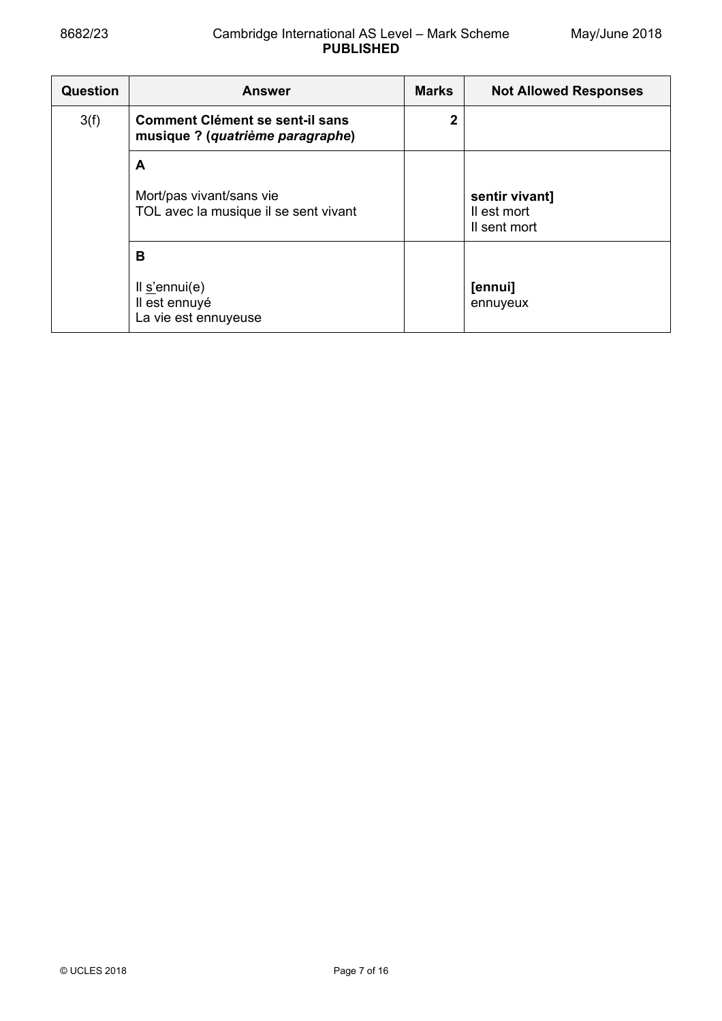## 8682/23 Cambridge International AS Level – Mark Scheme **PUBLISHED**

| <b>Question</b> | <b>Answer</b>                                                              | <b>Marks</b> | <b>Not Allowed Responses</b>                  |
|-----------------|----------------------------------------------------------------------------|--------------|-----------------------------------------------|
| 3(f)            | <b>Comment Clément se sent-il sans</b><br>musique ? (quatrième paragraphe) | 2            |                                               |
|                 | A                                                                          |              |                                               |
|                 | Mort/pas vivant/sans vie<br>TOL avec la musique il se sent vivant          |              | sentir vivant]<br>Il est mort<br>Il sent mort |
| В               |                                                                            |              |                                               |
|                 | $ll$ s'ennui(e)<br>Il est ennuyé<br>La vie est ennuyeuse                   |              | [ennui]<br>ennuyeux                           |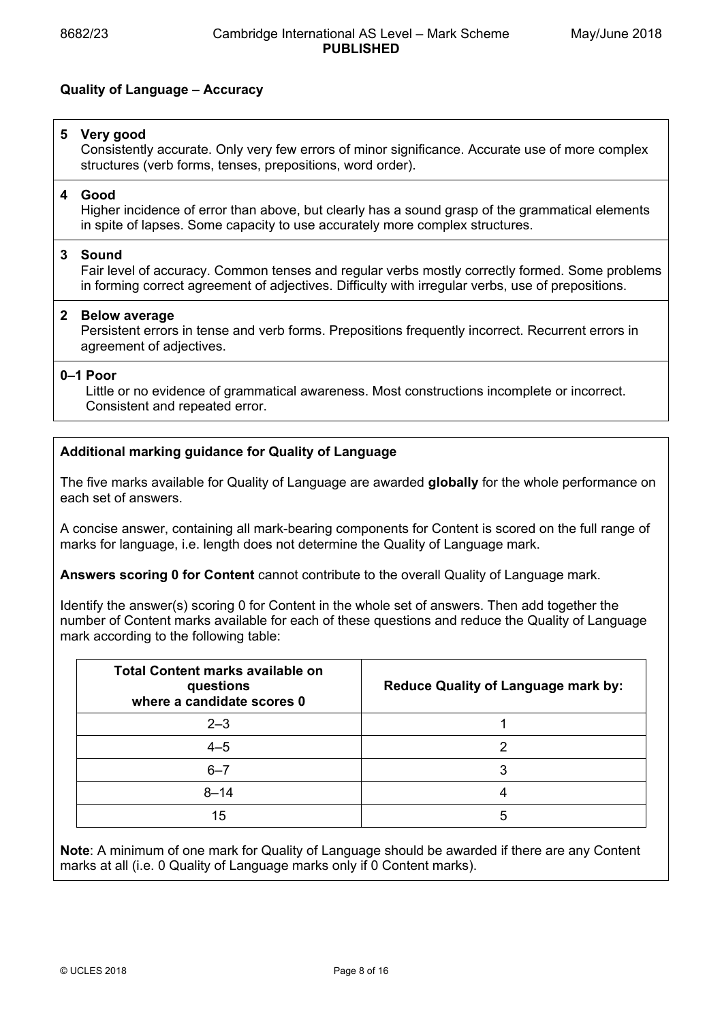# **Quality of Language – Accuracy**

# **5 Very good**

 Consistently accurate. Only very few errors of minor significance. Accurate use of more complex structures (verb forms, tenses, prepositions, word order).

## **4 Good**

 Higher incidence of error than above, but clearly has a sound grasp of the grammatical elements in spite of lapses. Some capacity to use accurately more complex structures.

## **3 Sound**

 Fair level of accuracy. Common tenses and regular verbs mostly correctly formed. Some problems in forming correct agreement of adjectives. Difficulty with irregular verbs, use of prepositions.

## **2 Below average**

 Persistent errors in tense and verb forms. Prepositions frequently incorrect. Recurrent errors in agreement of adjectives.

## **0–1 Poor**

 Little or no evidence of grammatical awareness. Most constructions incomplete or incorrect. Consistent and repeated error.

# **Additional marking guidance for Quality of Language**

The five marks available for Quality of Language are awarded **globally** for the whole performance on each set of answers.

A concise answer, containing all mark-bearing components for Content is scored on the full range of marks for language, i.e. length does not determine the Quality of Language mark.

**Answers scoring 0 for Content** cannot contribute to the overall Quality of Language mark.

Identify the answer(s) scoring 0 for Content in the whole set of answers. Then add together the number of Content marks available for each of these questions and reduce the Quality of Language mark according to the following table:

| Total Content marks available on<br>questions<br>where a candidate scores 0 | <b>Reduce Quality of Language mark by:</b> |
|-----------------------------------------------------------------------------|--------------------------------------------|
| $2 - 3$                                                                     |                                            |
| $4 - 5$                                                                     |                                            |
| $6 - 7$                                                                     | 3                                          |
| $8 - 14$                                                                    |                                            |
| 15                                                                          | h                                          |

**Note**: A minimum of one mark for Quality of Language should be awarded if there are any Content marks at all (i.e. 0 Quality of Language marks only if 0 Content marks).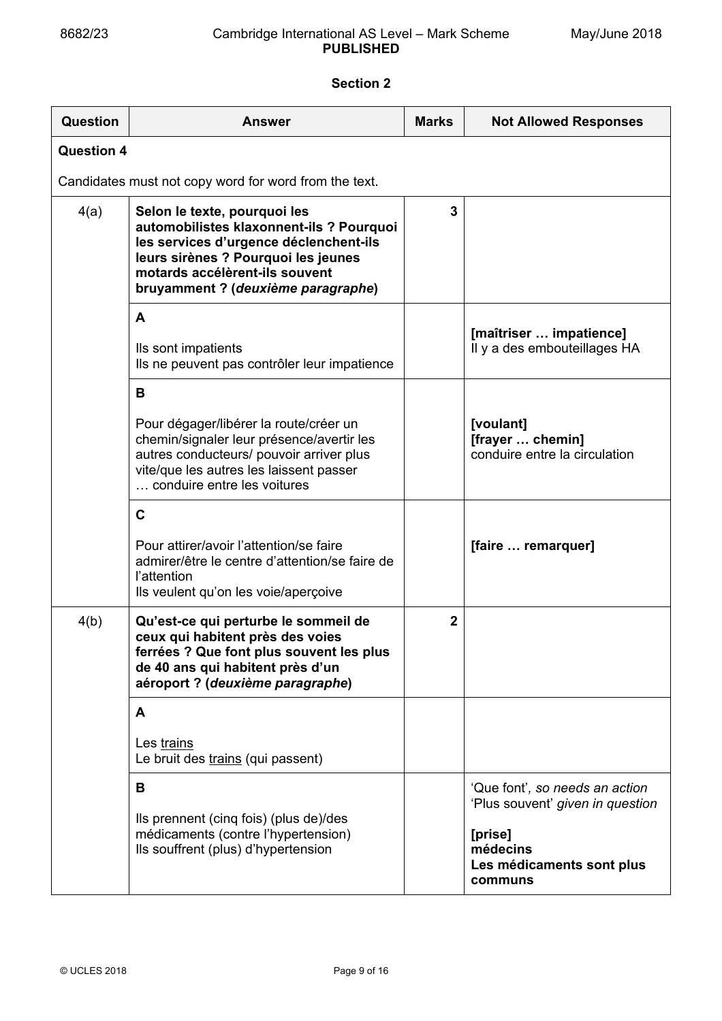# **Section 2**

| Question          | <b>Answer</b>                                                                                                                                                                                                                     | <b>Marks</b><br><b>Not Allowed Responses</b> |                                                                                                                                   |  |  |
|-------------------|-----------------------------------------------------------------------------------------------------------------------------------------------------------------------------------------------------------------------------------|----------------------------------------------|-----------------------------------------------------------------------------------------------------------------------------------|--|--|
| <b>Question 4</b> |                                                                                                                                                                                                                                   |                                              |                                                                                                                                   |  |  |
|                   | Candidates must not copy word for word from the text.                                                                                                                                                                             |                                              |                                                                                                                                   |  |  |
| 4(a)              | Selon le texte, pourquoi les<br>automobilistes klaxonnent-ils ? Pourquoi<br>les services d'urgence déclenchent-ils<br>leurs sirènes ? Pourquoi les jeunes<br>motards accélèrent-ils souvent<br>bruyamment ? (deuxième paragraphe) | 3                                            |                                                                                                                                   |  |  |
|                   | A<br>Ils sont impatients<br>Ils ne peuvent pas contrôler leur impatience                                                                                                                                                          |                                              | [maîtriser  impatience]<br>Il y a des embouteillages HA                                                                           |  |  |
|                   | B<br>Pour dégager/libérer la route/créer un<br>chemin/signaler leur présence/avertir les<br>autres conducteurs/ pouvoir arriver plus<br>vite/que les autres les laissent passer<br>conduire entre les voitures                    |                                              | [voulant]<br>[frayer  chemin]<br>conduire entre la circulation                                                                    |  |  |
|                   | $\mathbf C$<br>Pour attirer/avoir l'attention/se faire<br>admirer/être le centre d'attention/se faire de<br>l'attention<br>Ils veulent qu'on les voie/aperçoive                                                                   |                                              | [faire  remarquer]                                                                                                                |  |  |
| 4(b)              | Qu'est-ce qui perturbe le sommeil de<br>ceux qui habitent près des voies<br>ferrées ? Que font plus souvent les plus<br>de 40 ans qui habitent près d'un<br>aéroport ? (deuxième paragraphe)                                      | $\overline{2}$                               |                                                                                                                                   |  |  |
|                   | A<br>Les trains<br>Le bruit des trains (qui passent)                                                                                                                                                                              |                                              |                                                                                                                                   |  |  |
|                   | B<br>Ils prennent (cinq fois) (plus de)/des<br>médicaments (contre l'hypertension)<br>Ils souffrent (plus) d'hypertension                                                                                                         |                                              | 'Que font', so needs an action<br>'Plus souvent' given in question<br>[prise]<br>médecins<br>Les médicaments sont plus<br>communs |  |  |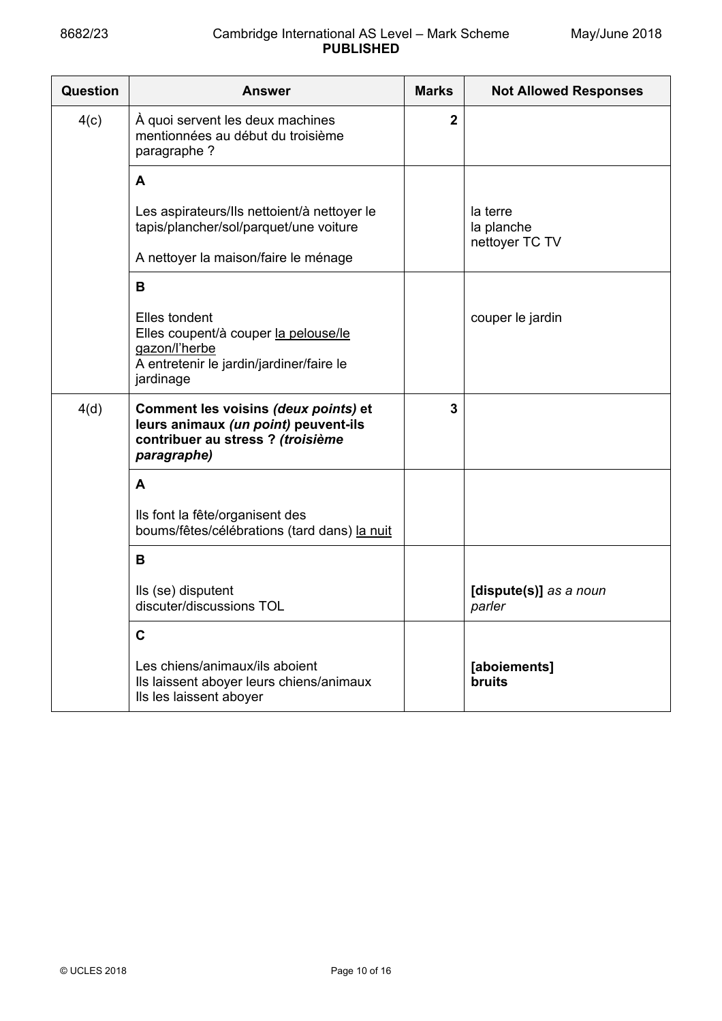| <b>Question</b> | <b>Answer</b>                                                                                                                    | <b>Marks</b>   | <b>Not Allowed Responses</b>             |  |
|-----------------|----------------------------------------------------------------------------------------------------------------------------------|----------------|------------------------------------------|--|
| 4(c)            | À quoi servent les deux machines<br>mentionnées au début du troisième<br>paragraphe?                                             | $\overline{2}$ |                                          |  |
|                 | A                                                                                                                                |                |                                          |  |
|                 | Les aspirateurs/Ils nettoient/à nettoyer le<br>tapis/plancher/sol/parquet/une voiture                                            |                | la terre<br>la planche<br>nettoyer TC TV |  |
|                 | A nettoyer la maison/faire le ménage                                                                                             |                |                                          |  |
|                 | B                                                                                                                                |                |                                          |  |
|                 | Elles tondent<br>Elles coupent/à couper la pelouse/le<br>gazon/l'herbe<br>A entretenir le jardin/jardiner/faire le<br>jardinage  |                | couper le jardin                         |  |
| 4(d)            | Comment les voisins (deux points) et<br>leurs animaux (un point) peuvent-ils<br>contribuer au stress ? (troisième<br>paragraphe) | 3              |                                          |  |
|                 | A                                                                                                                                |                |                                          |  |
|                 | Ils font la fête/organisent des<br>boums/fêtes/célébrations (tard dans) la nuit                                                  |                |                                          |  |
|                 | B                                                                                                                                |                |                                          |  |
|                 | Ils (se) disputent<br>discuter/discussions TOL                                                                                   |                | [dispute(s)] as a noun<br>parler         |  |
|                 | C                                                                                                                                |                |                                          |  |
|                 | Les chiens/animaux/ils aboient<br>Ils laissent aboyer leurs chiens/animaux<br>Ils les laissent aboyer                            |                | [aboiements]<br><b>bruits</b>            |  |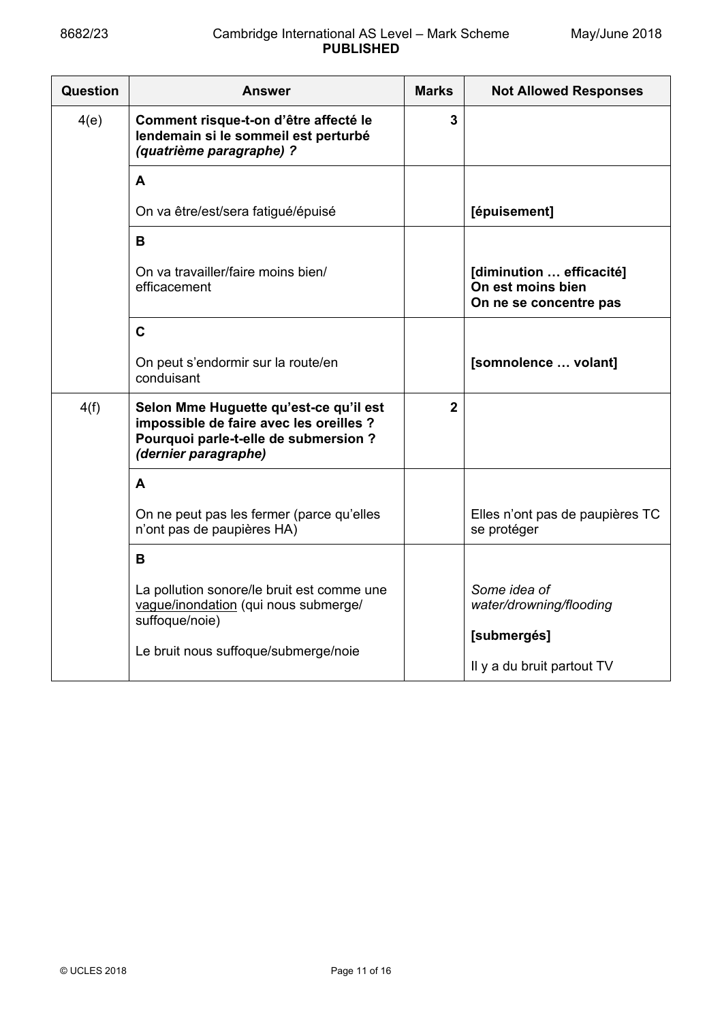| Question | Answer                                                                                                                                             | <b>Marks</b> | <b>Not Allowed Responses</b>                                            |
|----------|----------------------------------------------------------------------------------------------------------------------------------------------------|--------------|-------------------------------------------------------------------------|
| 4(e)     | Comment risque-t-on d'être affecté le<br>lendemain si le sommeil est perturbé<br>(quatrième paragraphe) ?                                          | 3            |                                                                         |
|          | A                                                                                                                                                  |              |                                                                         |
|          | On va être/est/sera fatigué/épuisé                                                                                                                 |              | [épuisement]                                                            |
|          | B                                                                                                                                                  |              |                                                                         |
|          | On va travailler/faire moins bien/<br>efficacement                                                                                                 |              | [diminution  efficacité]<br>On est moins bien<br>On ne se concentre pas |
|          | $\mathbf C$                                                                                                                                        |              |                                                                         |
|          | On peut s'endormir sur la route/en<br>conduisant                                                                                                   |              | [somnolence  volant]                                                    |
| 4(f)     | Selon Mme Huguette qu'est-ce qu'il est<br>impossible de faire avec les oreilles ?<br>Pourquoi parle-t-elle de submersion ?<br>(dernier paragraphe) | $\mathbf{2}$ |                                                                         |
|          | A                                                                                                                                                  |              |                                                                         |
|          | On ne peut pas les fermer (parce qu'elles<br>n'ont pas de paupières HA)                                                                            |              | Elles n'ont pas de paupières TC<br>se protéger                          |
|          | B                                                                                                                                                  |              |                                                                         |
|          | La pollution sonore/le bruit est comme une<br>vague/inondation (qui nous submerge/<br>suffoque/noie)                                               |              | Some idea of<br>water/drowning/flooding                                 |
|          | Le bruit nous suffoque/submerge/noie                                                                                                               |              | [submergés]                                                             |
|          |                                                                                                                                                    |              | Il y a du bruit partout TV                                              |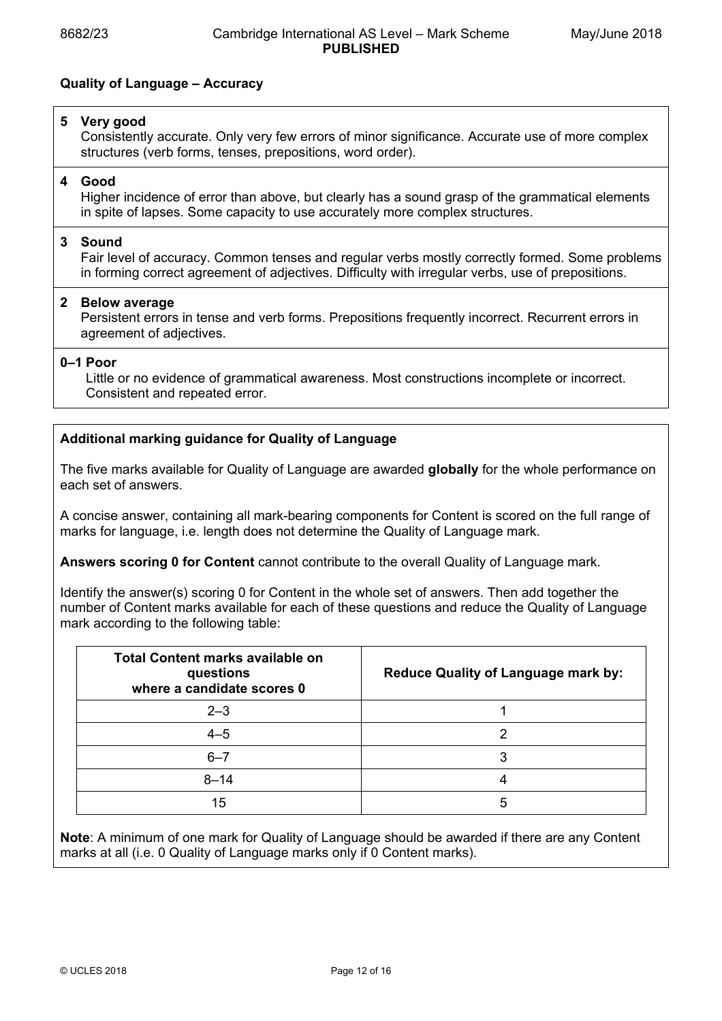# **Quality of Language – Accuracy**

## **5 Very good**

 Consistently accurate. Only very few errors of minor significance. Accurate use of more complex structures (verb forms, tenses, prepositions, word order).

## **4 Good**

 Higher incidence of error than above, but clearly has a sound grasp of the grammatical elements in spite of lapses. Some capacity to use accurately more complex structures.

## **3 Sound**

 Fair level of accuracy. Common tenses and regular verbs mostly correctly formed. Some problems in forming correct agreement of adjectives. Difficulty with irregular verbs, use of prepositions.

## **2 Below average**

 Persistent errors in tense and verb forms. Prepositions frequently incorrect. Recurrent errors in agreement of adjectives.

## **0–1 Poor**

 Little or no evidence of grammatical awareness. Most constructions incomplete or incorrect. Consistent and repeated error.

# **Additional marking guidance for Quality of Language**

The five marks available for Quality of Language are awarded **globally** for the whole performance on each set of answers.

A concise answer, containing all mark-bearing components for Content is scored on the full range of marks for language, i.e. length does not determine the Quality of Language mark.

**Answers scoring 0 for Content** cannot contribute to the overall Quality of Language mark.

Identify the answer(s) scoring 0 for Content in the whole set of answers. Then add together the number of Content marks available for each of these questions and reduce the Quality of Language mark according to the following table:

| <b>Total Content marks available on</b><br>questions<br>where a candidate scores 0 | <b>Reduce Quality of Language mark by:</b> |
|------------------------------------------------------------------------------------|--------------------------------------------|
| $2 - 3$                                                                            |                                            |
| $4 - 5$                                                                            |                                            |
| $6 - 7$                                                                            |                                            |
| $8 - 14$                                                                           |                                            |
| 15                                                                                 | 5                                          |

**Note**: A minimum of one mark for Quality of Language should be awarded if there are any Content marks at all (i.e. 0 Quality of Language marks only if 0 Content marks).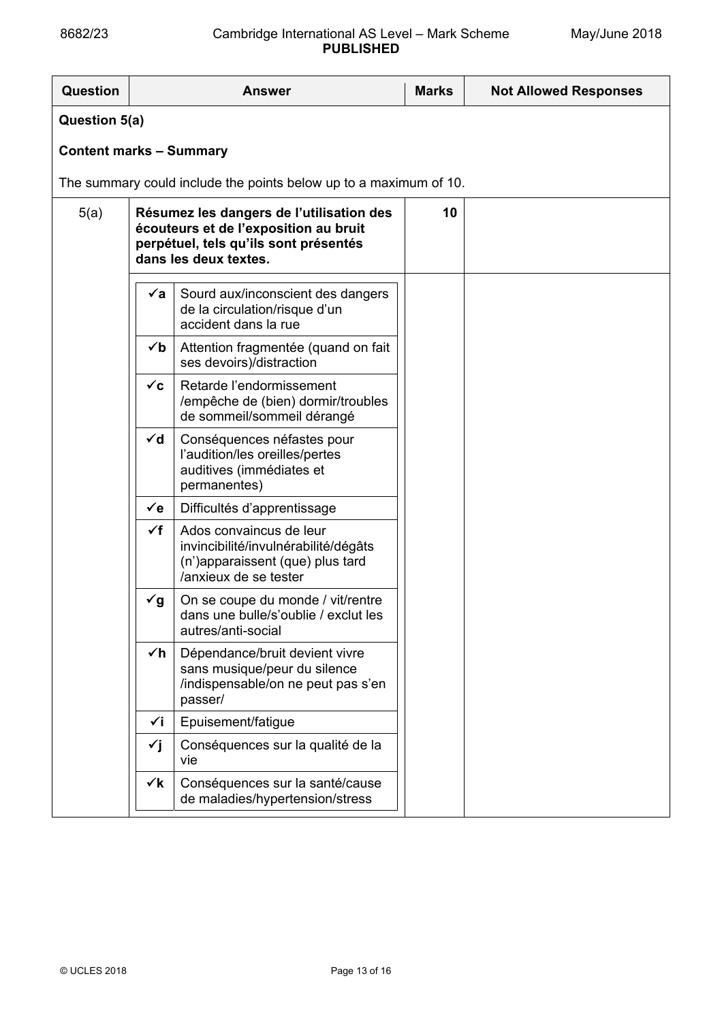| Question                       |                | <b>Answer</b>                                                                                                                                       | <b>Marks</b> | <b>Not Allowed Responses</b> |
|--------------------------------|----------------|-----------------------------------------------------------------------------------------------------------------------------------------------------|--------------|------------------------------|
| Question 5(a)                  |                |                                                                                                                                                     |              |                              |
| <b>Content marks - Summary</b> |                |                                                                                                                                                     |              |                              |
|                                |                | The summary could include the points below up to a maximum of 10.                                                                                   |              |                              |
| 5(a)                           |                | Résumez les dangers de l'utilisation des<br>écouteurs et de l'exposition au bruit<br>perpétuel, tels qu'ils sont présentés<br>dans les deux textes. | 10           |                              |
|                                | √a             | Sourd aux/inconscient des dangers<br>de la circulation/risque d'un<br>accident dans la rue                                                          |              |                              |
|                                | √b             | Attention fragmentée (quand on fait<br>ses devoirs)/distraction                                                                                     |              |                              |
|                                | $\checkmark$ c | Retarde l'endormissement<br>/empêche de (bien) dormir/troubles<br>de sommeil/sommeil dérangé                                                        |              |                              |
|                                | $\checkmark$ d | Conséquences néfastes pour<br>l'audition/les oreilles/pertes<br>auditives (immédiates et<br>permanentes)                                            |              |                              |
|                                | $\checkmark$ e | Difficultés d'apprentissage                                                                                                                         |              |                              |
|                                | $\checkmark$ f | Ados convaincus de leur<br>invincibilité/invulnérabilité/dégâts<br>(n')apparaissent (que) plus tard<br>/anxieux de se tester                        |              |                              |
|                                | $\check{q}$    | On se coupe du monde / vit/rentre<br>dans une bulle/s'oublie / exclut les<br>autres/anti-social                                                     |              |                              |
|                                | $\checkmark$ h | Dépendance/bruit devient vivre<br>sans musique/peur du silence<br>/indispensable/on ne peut pas s'en<br>passer/                                     |              |                              |
|                                | √i             | Epuisement/fatigue                                                                                                                                  |              |                              |
|                                | ✓j             | Conséquences sur la qualité de la<br>vie                                                                                                            |              |                              |
|                                | $\checkmark$   | Conséquences sur la santé/cause<br>de maladies/hypertension/stress                                                                                  |              |                              |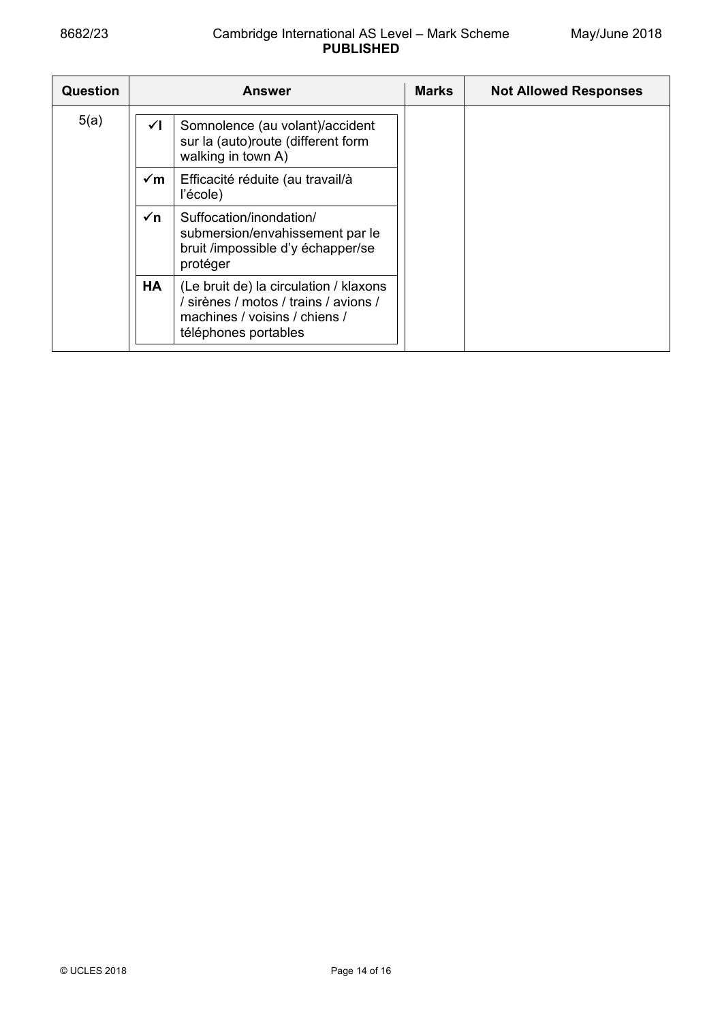| <b>Question</b> | <b>Answer</b>  |                                                                                                                                          | <b>Marks</b> | <b>Not Allowed Responses</b> |
|-----------------|----------------|------------------------------------------------------------------------------------------------------------------------------------------|--------------|------------------------------|
| 5(a)            | ✓∣             | Somnolence (au volant)/accident<br>sur la (auto)route (different form<br>walking in town A)                                              |              |                              |
|                 | $\sqrt{m}$     | Efficacité réduite (au travail/à<br>l'école)                                                                                             |              |                              |
|                 | $\checkmark$ n | Suffocation/inondation/<br>submersion/envahissement par le<br>bruit /impossible d'y échapper/se<br>protéger                              |              |                              |
|                 | <b>HA</b>      | (Le bruit de) la circulation / klaxons<br>/ sirènes / motos / trains / avions /<br>machines / voisins / chiens /<br>téléphones portables |              |                              |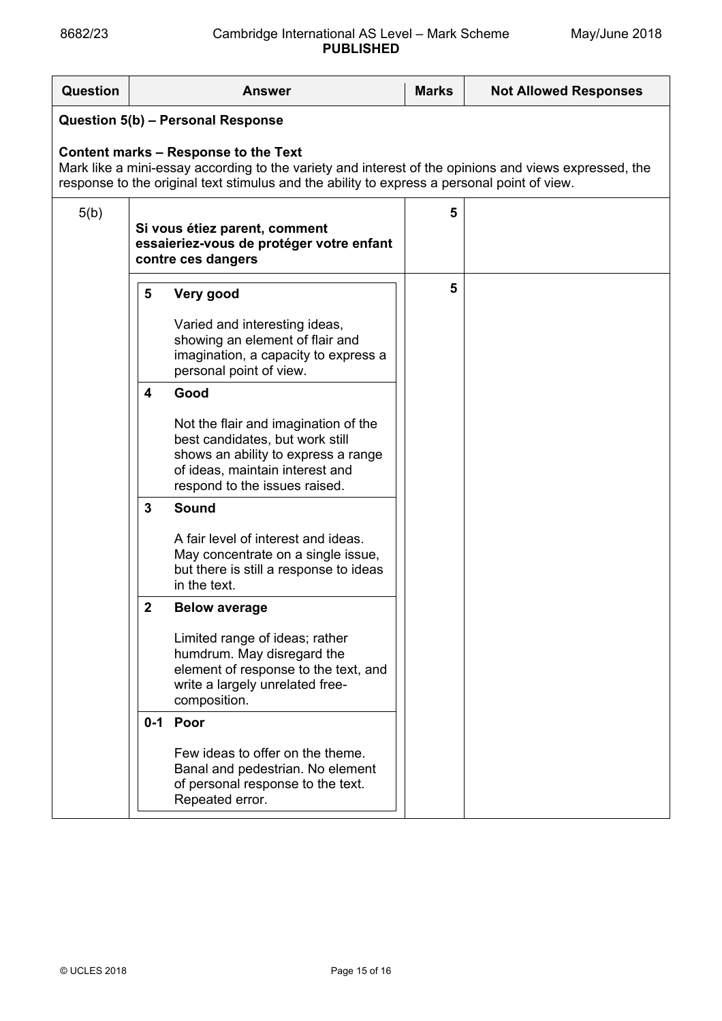# 8682/23 Cambridge International AS Level – Mark Scheme **PUBLISHED**

| Question                                                                                                                                                                                                                                            |                                 | <b>Answer</b>                                                                                                                                                                                                                                                                                                                                                                                                                                                                                                          | <b>Marks</b> | <b>Not Allowed Responses</b> |  |  |  |
|-----------------------------------------------------------------------------------------------------------------------------------------------------------------------------------------------------------------------------------------------------|---------------------------------|------------------------------------------------------------------------------------------------------------------------------------------------------------------------------------------------------------------------------------------------------------------------------------------------------------------------------------------------------------------------------------------------------------------------------------------------------------------------------------------------------------------------|--------------|------------------------------|--|--|--|
| Question 5(b) - Personal Response                                                                                                                                                                                                                   |                                 |                                                                                                                                                                                                                                                                                                                                                                                                                                                                                                                        |              |                              |  |  |  |
| <b>Content marks - Response to the Text</b><br>Mark like a mini-essay according to the variety and interest of the opinions and views expressed, the<br>response to the original text stimulus and the ability to express a personal point of view. |                                 |                                                                                                                                                                                                                                                                                                                                                                                                                                                                                                                        |              |                              |  |  |  |
| 5(b)                                                                                                                                                                                                                                                |                                 | Si vous étiez parent, comment<br>essaieriez-vous de protéger votre enfant<br>contre ces dangers                                                                                                                                                                                                                                                                                                                                                                                                                        | 5            |                              |  |  |  |
|                                                                                                                                                                                                                                                     | 5<br>4<br>3<br>$\boldsymbol{2}$ | Very good<br>Varied and interesting ideas,<br>showing an element of flair and<br>imagination, a capacity to express a<br>personal point of view.<br>Good<br>Not the flair and imagination of the<br>best candidates, but work still<br>shows an ability to express a range<br>of ideas, maintain interest and<br>respond to the issues raised.<br>Sound<br>A fair level of interest and ideas.<br>May concentrate on a single issue,<br>but there is still a response to ideas<br>in the text.<br><b>Below average</b> | 5            |                              |  |  |  |
|                                                                                                                                                                                                                                                     |                                 | Limited range of ideas; rather<br>humdrum. May disregard the<br>element of response to the text, and<br>write a largely unrelated free-<br>composition.                                                                                                                                                                                                                                                                                                                                                                |              |                              |  |  |  |
|                                                                                                                                                                                                                                                     | $0 - 1$                         | Poor<br>Few ideas to offer on the theme.<br>Banal and pedestrian. No element<br>of personal response to the text.<br>Repeated error.                                                                                                                                                                                                                                                                                                                                                                                   |              |                              |  |  |  |